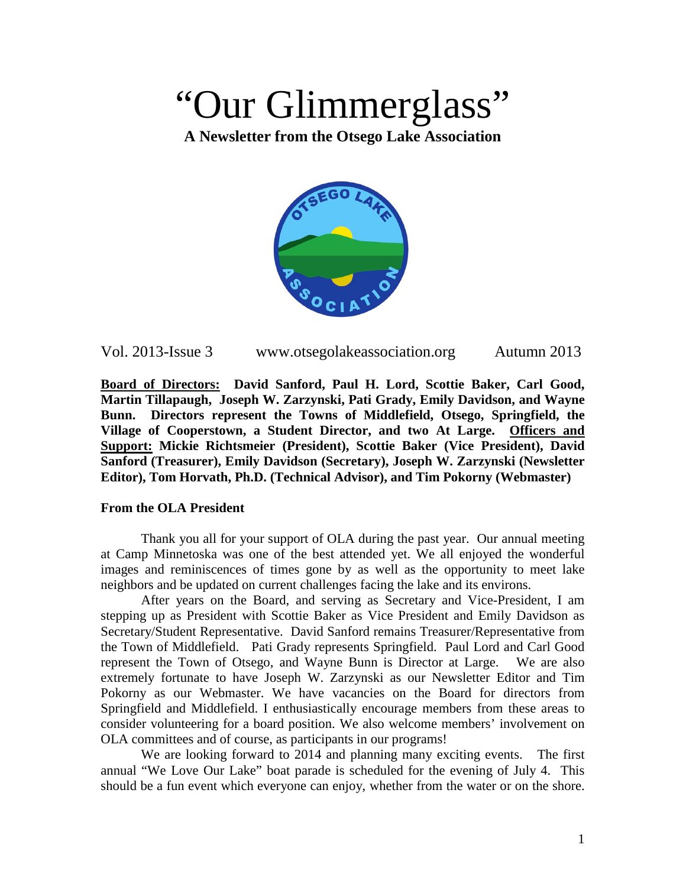# "Our Glimmerglass"

**A Newsletter from the Otsego Lake Association**



| Vol. 2013-Issue 3 | www.otsegolakeassociation.org | Autumn 2013 |
|-------------------|-------------------------------|-------------|
|-------------------|-------------------------------|-------------|

**Board of Directors: David Sanford, Paul H. Lord, Scottie Baker, Carl Good, Martin Tillapaugh, Joseph W. Zarzynski, Pati Grady, Emily Davidson, and Wayne Bunn. Directors represent the Towns of Middlefield, Otsego, Springfield, the Village of Cooperstown, a Student Director, and two At Large. Officers and Support: Mickie Richtsmeier (President), Scottie Baker (Vice President), David Sanford (Treasurer), Emily Davidson (Secretary), Joseph W. Zarzynski (Newsletter Editor), Tom Horvath, Ph.D. (Technical Advisor), and Tim Pokorny (Webmaster)**

#### **From the OLA President**

Thank you all for your support of OLA during the past year. Our annual meeting at Camp Minnetoska was one of the best attended yet. We all enjoyed the wonderful images and reminiscences of times gone by as well as the opportunity to meet lake neighbors and be updated on current challenges facing the lake and its environs.

After years on the Board, and serving as Secretary and Vice-President, I am stepping up as President with Scottie Baker as Vice President and Emily Davidson as Secretary/Student Representative. David Sanford remains Treasurer/Representative from the Town of Middlefield. Pati Grady represents Springfield. Paul Lord and Carl Good represent the Town of Otsego, and Wayne Bunn is Director at Large. We are also extremely fortunate to have Joseph W. Zarzynski as our Newsletter Editor and Tim Pokorny as our Webmaster. We have vacancies on the Board for directors from Springfield and Middlefield. I enthusiastically encourage members from these areas to consider volunteering for a board position. We also welcome members' involvement on OLA committees and of course, as participants in our programs!

We are looking forward to 2014 and planning many exciting events. The first annual "We Love Our Lake" boat parade is scheduled for the evening of July 4. This should be a fun event which everyone can enjoy, whether from the water or on the shore.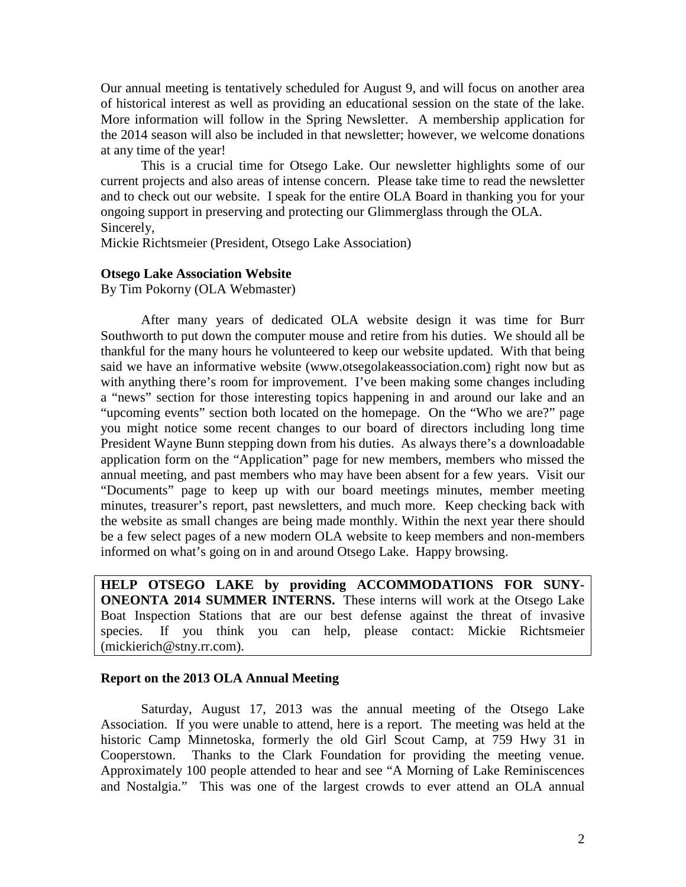Our annual meeting is tentatively scheduled for August 9, and will focus on another area of historical interest as well as providing an educational session on the state of the lake. More information will follow in the Spring Newsletter. A membership application for the 2014 season will also be included in that newsletter; however, we welcome donations at any time of the year!

This is a crucial time for Otsego Lake. Our newsletter highlights some of our current projects and also areas of intense concern. Please take time to read the newsletter and to check out our website. I speak for the entire OLA Board in thanking you for your ongoing support in preserving and protecting our Glimmerglass through the OLA. Sincerely,

Mickie Richtsmeier (President, Otsego Lake Association)

### **Otsego Lake Association Website**

By Tim Pokorny (OLA Webmaster)

After many years of dedicated OLA website design it was time for Burr Southworth to put down the computer mouse and retire from his duties. We should all be thankful for the many hours he volunteered to keep our website updated. With that being said we have an informative website (www.otsegolakeassociation.com) right now but as with anything there's room for improvement. I've been making some changes including a "news" section for those interesting topics happening in and around our lake and an "upcoming events" section both located on the homepage. On the "Who we are?" page you might notice some recent changes to our board of directors including long time President Wayne Bunn stepping down from his duties. As always there's a downloadable application form on the "Application" page for new members, members who missed the annual meeting, and past members who may have been absent for a few years. Visit our "Documents" page to keep up with our board meetings minutes, member meeting minutes, treasurer's report, past newsletters, and much more. Keep checking back with the website as small changes are being made monthly. Within the next year there should be a few select pages of a new modern OLA website to keep members and non-members informed on what's going on in and around Otsego Lake. Happy browsing.

**HELP OTSEGO LAKE by providing ACCOMMODATIONS FOR SUNY-ONEONTA 2014 SUMMER INTERNS.** These interns will work at the Otsego Lake Boat Inspection Stations that are our best defense against the threat of invasive species. If you think you can help, please contact: Mickie Richtsmeier (mickierich@stny.rr.com).

#### **Report on the 2013 OLA Annual Meeting**

Saturday, August 17, 2013 was the annual meeting of the Otsego Lake Association. If you were unable to attend, here is a report. The meeting was held at the historic Camp Minnetoska, formerly the old Girl Scout Camp, at 759 Hwy 31 in Cooperstown. Thanks to the Clark Foundation for providing the meeting venue. Approximately 100 people attended to hear and see "A Morning of Lake Reminiscences and Nostalgia." This was one of the largest crowds to ever attend an OLA annual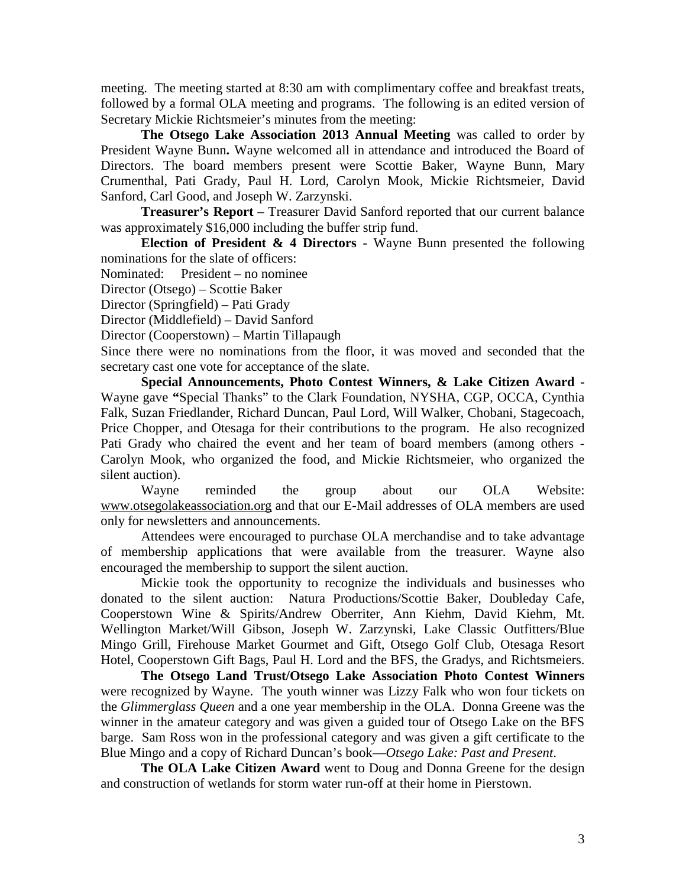meeting. The meeting started at 8:30 am with complimentary coffee and breakfast treats, followed by a formal OLA meeting and programs. The following is an edited version of Secretary Mickie Richtsmeier's minutes from the meeting:

The Otsego Lake Association 2013 Annual Meeting was called to order by President Wayne Bunn**.** Wayne welcomed all in attendance and introduced the Board of Directors. The board members present were Scottie Baker, Wayne Bunn, Mary Crumenthal, Pati Grady, Paul H. Lord, Carolyn Mook, Mickie Richtsmeier, David Sanford, Carl Good, and Joseph W. Zarzynski.

**Treasurer's Report** – Treasurer David Sanford reported that our current balance was approximately \$16,000 including the buffer strip fund.

**Election of President & 4 Directors -** Wayne Bunn presented the following nominations for the slate of officers:

Nominated: President – no nominee

Director (Otsego) – Scottie Baker

Director (Springfield) – Pati Grady

Director (Middlefield) – David Sanford

Director (Cooperstown) – Martin Tillapaugh

Since there were no nominations from the floor, it was moved and seconded that the secretary cast one vote for acceptance of the slate.

**Special Announcements, Photo Contest Winners, & Lake Citizen Award -** Wayne gave **"**Special Thanks" to the Clark Foundation, NYSHA, CGP, OCCA, Cynthia Falk, Suzan Friedlander, Richard Duncan, Paul Lord, Will Walker, Chobani, Stagecoach, Price Chopper, and Otesaga for their contributions to the program. He also recognized Pati Grady who chaired the event and her team of board members (among others - Carolyn Mook, who organized the food, and Mickie Richtsmeier, who organized the silent auction).

Wayne reminded the group about our OLA Website: [www.otsegolakeassociation.org](http://www.otsegolakeassociation.org/) and that our E-Mail addresses of OLA members are used only for newsletters and announcements.

Attendees were encouraged to purchase OLA merchandise and to take advantage of membership applications that were available from the treasurer. Wayne also encouraged the membership to support the silent auction.

Mickie took the opportunity to recognize the individuals and businesses who donated to the silent auction: Natura Productions/Scottie Baker, Doubleday Cafe, Cooperstown Wine & Spirits/Andrew Oberriter, Ann Kiehm, David Kiehm, Mt. Wellington Market/Will Gibson, Joseph W. Zarzynski, Lake Classic Outfitters/Blue Mingo Grill, Firehouse Market Gourmet and Gift, Otsego Golf Club, Otesaga Resort Hotel, Cooperstown Gift Bags, Paul H. Lord and the BFS, the Gradys, and Richtsmeiers.

**The Otsego Land Trust/Otsego Lake Association Photo Contest Winners**  were recognized by Wayne. The youth winner was Lizzy Falk who won four tickets on the *Glimmerglass Queen* and a one year membership in the OLA. Donna Greene was the winner in the amateur category and was given a guided tour of Otsego Lake on the BFS barge. Sam Ross won in the professional category and was given a gift certificate to the Blue Mingo and a copy of Richard Duncan's book—*Otsego Lake: Past and Present*.

**The OLA Lake Citizen Award** went to Doug and Donna Greene for the design and construction of wetlands for storm water run-off at their home in Pierstown.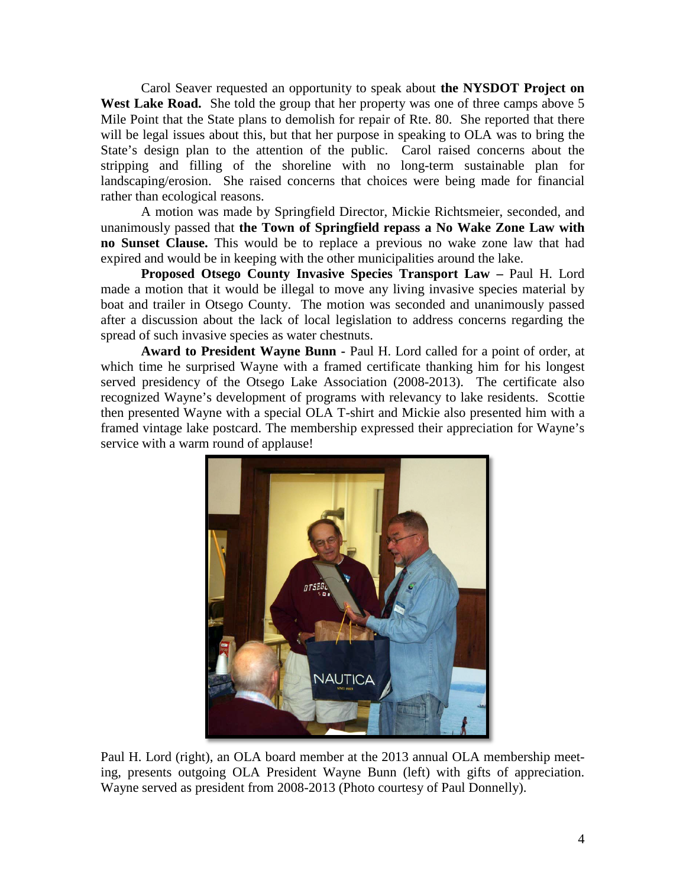Carol Seaver requested an opportunity to speak about **the NYSDOT Project on**  West Lake Road. She told the group that her property was one of three camps above 5 Mile Point that the State plans to demolish for repair of Rte. 80. She reported that there will be legal issues about this, but that her purpose in speaking to OLA was to bring the State's design plan to the attention of the public. Carol raised concerns about the stripping and filling of the shoreline with no long-term sustainable plan for landscaping/erosion. She raised concerns that choices were being made for financial rather than ecological reasons.

A motion was made by Springfield Director, Mickie Richtsmeier, seconded, and unanimously passed that **the Town of Springfield repass a No Wake Zone Law with no Sunset Clause.** This would be to replace a previous no wake zone law that had expired and would be in keeping with the other municipalities around the lake.

**Proposed Otsego County Invasive Species Transport Law –** Paul H. Lord made a motion that it would be illegal to move any living invasive species material by boat and trailer in Otsego County. The motion was seconded and unanimously passed after a discussion about the lack of local legislation to address concerns regarding the spread of such invasive species as water chestnuts.

**Award to President Wayne Bunn -** Paul H. Lord called for a point of order, at which time he surprised Wayne with a framed certificate thanking him for his longest served presidency of the Otsego Lake Association (2008-2013). The certificate also recognized Wayne's development of programs with relevancy to lake residents. Scottie then presented Wayne with a special OLA T-shirt and Mickie also presented him with a framed vintage lake postcard. The membership expressed their appreciation for Wayne's service with a warm round of applause!



 Paul H. Lord (right), an OLA board member at the 2013 annual OLA membership meeting, presents outgoing OLA President Wayne Bunn (left) with gifts of appreciation. Wayne served as president from 2008-2013 (Photo courtesy of Paul Donnelly).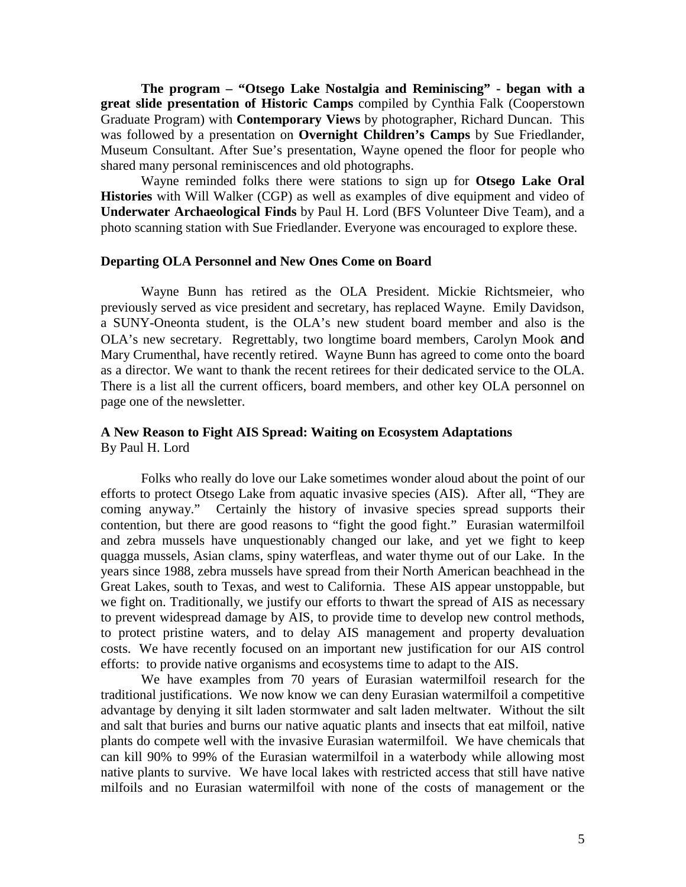**The program – "Otsego Lake Nostalgia and Reminiscing" - began with a great slide presentation of Historic Camps** compiled by Cynthia Falk (Cooperstown Graduate Program) with **Contemporary Views** by photographer, Richard Duncan. This was followed by a presentation on **Overnight Children's Camps** by Sue Friedlander, Museum Consultant. After Sue's presentation, Wayne opened the floor for people who shared many personal reminiscences and old photographs.

Wayne reminded folks there were stations to sign up for **Otsego Lake Oral Histories** with Will Walker (CGP) as well as examples of dive equipment and video of **Underwater Archaeological Finds** by Paul H. Lord (BFS Volunteer Dive Team), and a photo scanning station with Sue Friedlander. Everyone was encouraged to explore these.

#### **Departing OLA Personnel and New Ones Come on Board**

Wayne Bunn has retired as the OLA President. Mickie Richtsmeier, who previously served as vice president and secretary, has replaced Wayne. Emily Davidson, a SUNY-Oneonta student, is the OLA's new student board member and also is the OLA's new secretary. Regrettably, two longtime board members, Carolyn Mook and Mary Crumenthal, have recently retired. Wayne Bunn has agreed to come onto the board as a director. We want to thank the recent retirees for their dedicated service to the OLA. There is a list all the current officers, board members, and other key OLA personnel on page one of the newsletter.

#### **A New Reason to Fight AIS Spread: Waiting on Ecosystem Adaptations** By Paul H. Lord

Folks who really do love our Lake sometimes wonder aloud about the point of our efforts to protect Otsego Lake from aquatic invasive species (AIS). After all, "They are coming anyway." Certainly the history of invasive species spread supports their contention, but there are good reasons to "fight the good fight." Eurasian watermilfoil and zebra mussels have unquestionably changed our lake, and yet we fight to keep quagga mussels, Asian clams, spiny waterfleas, and water thyme out of our Lake. In the years since 1988, zebra mussels have spread from their North American beachhead in the Great Lakes, south to Texas, and west to California. These AIS appear unstoppable, but we fight on. Traditionally, we justify our efforts to thwart the spread of AIS as necessary to prevent widespread damage by AIS, to provide time to develop new control methods, to protect pristine waters, and to delay AIS management and property devaluation costs. We have recently focused on an important new justification for our AIS control efforts: to provide native organisms and ecosystems time to adapt to the AIS.

We have examples from 70 years of Eurasian watermilfoil research for the traditional justifications. We now know we can deny Eurasian watermilfoil a competitive advantage by denying it silt laden stormwater and salt laden meltwater. Without the silt and salt that buries and burns our native aquatic plants and insects that eat milfoil, native plants do compete well with the invasive Eurasian watermilfoil. We have chemicals that can kill 90% to 99% of the Eurasian watermilfoil in a waterbody while allowing most native plants to survive. We have local lakes with restricted access that still have native milfoils and no Eurasian watermilfoil with none of the costs of management or the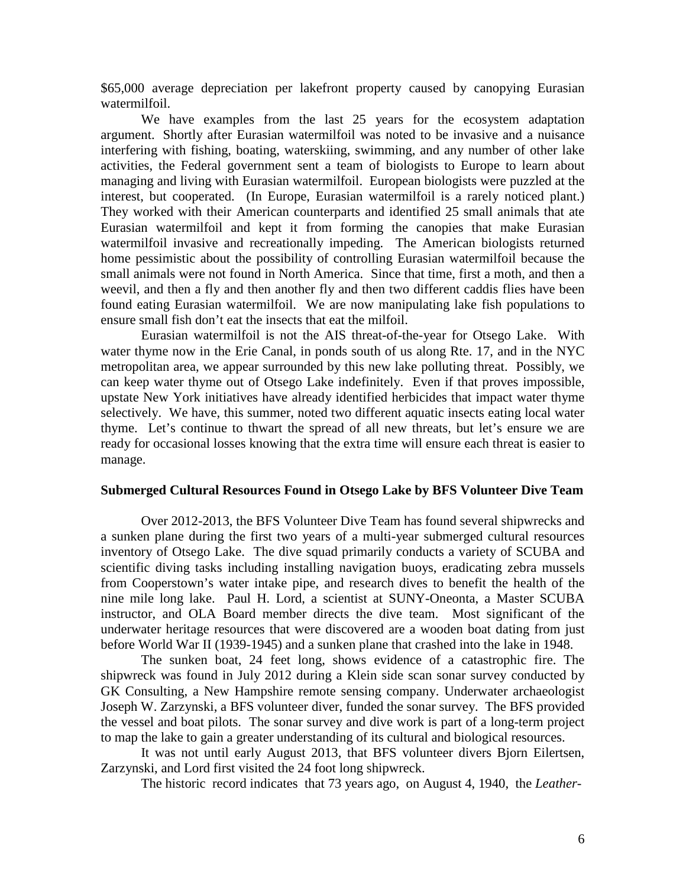\$65,000 average depreciation per lakefront property caused by canopying Eurasian watermilfoil.

We have examples from the last 25 years for the ecosystem adaptation argument. Shortly after Eurasian watermilfoil was noted to be invasive and a nuisance interfering with fishing, boating, waterskiing, swimming, and any number of other lake activities, the Federal government sent a team of biologists to Europe to learn about managing and living with Eurasian watermilfoil. European biologists were puzzled at the interest, but cooperated. (In Europe, Eurasian watermilfoil is a rarely noticed plant.) They worked with their American counterparts and identified 25 small animals that ate Eurasian watermilfoil and kept it from forming the canopies that make Eurasian watermilfoil invasive and recreationally impeding. The American biologists returned home pessimistic about the possibility of controlling Eurasian watermilfoil because the small animals were not found in North America. Since that time, first a moth, and then a weevil, and then a fly and then another fly and then two different caddis flies have been found eating Eurasian watermilfoil. We are now manipulating lake fish populations to ensure small fish don't eat the insects that eat the milfoil.

Eurasian watermilfoil is not the AIS threat-of-the-year for Otsego Lake. With water thyme now in the Erie Canal, in ponds south of us along Rte. 17, and in the NYC metropolitan area, we appear surrounded by this new lake polluting threat. Possibly, we can keep water thyme out of Otsego Lake indefinitely. Even if that proves impossible, upstate New York initiatives have already identified herbicides that impact water thyme selectively. We have, this summer, noted two different aquatic insects eating local water thyme. Let's continue to thwart the spread of all new threats, but let's ensure we are ready for occasional losses knowing that the extra time will ensure each threat is easier to manage.

#### **Submerged Cultural Resources Found in Otsego Lake by BFS Volunteer Dive Team**

Over 2012-2013, the BFS Volunteer Dive Team has found several shipwrecks and a sunken plane during the first two years of a multi-year submerged cultural resources inventory of Otsego Lake. The dive squad primarily conducts a variety of SCUBA and scientific diving tasks including installing navigation buoys, eradicating zebra mussels from Cooperstown's water intake pipe, and research dives to benefit the health of the nine mile long lake. Paul H. Lord, a scientist at SUNY-Oneonta, a Master SCUBA instructor, and OLA Board member directs the dive team. Most significant of the underwater heritage resources that were discovered are a wooden boat dating from just before World War II (1939-1945) and a sunken plane that crashed into the lake in 1948.

The sunken boat, 24 feet long, shows evidence of a catastrophic fire. The shipwreck was found in July 2012 during a Klein side scan sonar survey conducted by GK Consulting, a New Hampshire remote sensing company. Underwater archaeologist Joseph W. Zarzynski, a BFS volunteer diver, funded the sonar survey. The BFS provided the vessel and boat pilots. The sonar survey and dive work is part of a long-term project to map the lake to gain a greater understanding of its cultural and biological resources.

It was not until early August 2013, that BFS volunteer divers Bjorn Eilertsen, Zarzynski, and Lord first visited the 24 foot long shipwreck.

The historic record indicates that 73 years ago, on August 4, 1940, the *Leather-*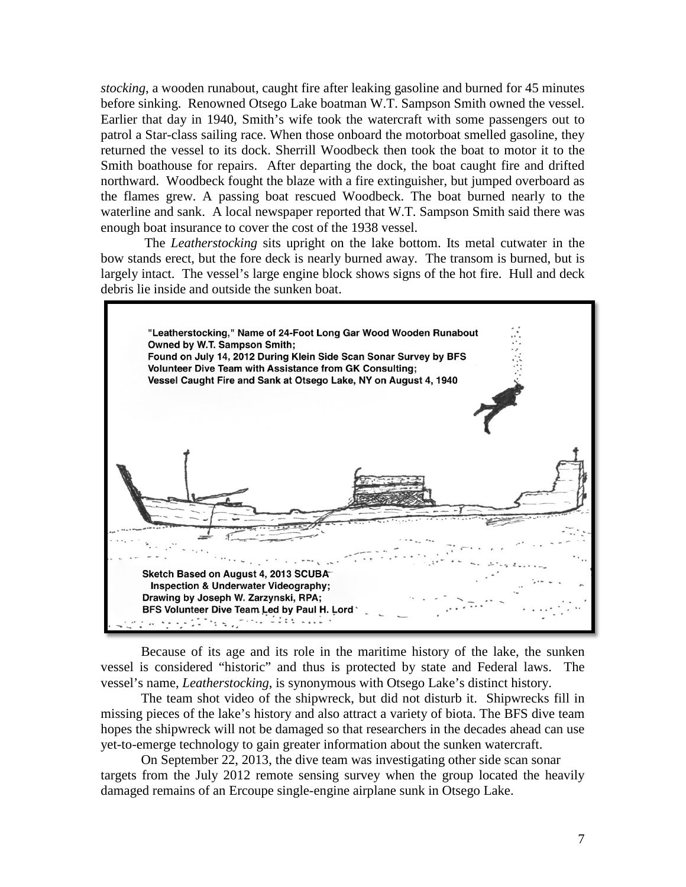*stocking*, a wooden runabout, caught fire after leaking gasoline and burned for 45 minutes before sinking. Renowned Otsego Lake boatman W.T. Sampson Smith owned the vessel. Earlier that day in 1940, Smith's wife took the watercraft with some passengers out to patrol a Star-class sailing race. When those onboard the motorboat smelled gasoline, they returned the vessel to its dock. Sherrill Woodbeck then took the boat to motor it to the Smith boathouse for repairs. After departing the dock, the boat caught fire and drifted northward. Woodbeck fought the blaze with a fire extinguisher, but jumped overboard as the flames grew. A passing boat rescued Woodbeck. The boat burned nearly to the waterline and sank. A local newspaper reported that W.T. Sampson Smith said there was enough boat insurance to cover the cost of the 1938 vessel.

The *Leatherstocking* sits upright on the lake bottom. Its metal cutwater in the bow stands erect, but the fore deck is nearly burned away. The transom is burned, but is largely intact. The vessel's large engine block shows signs of the hot fire. Hull and deck debris lie inside and outside the sunken boat.



Because of its age and its role in the maritime history of the lake, the sunken vessel is considered "historic" and thus is protected by state and Federal laws. The vessel's name, *Leatherstocking*, is synonymous with Otsego Lake's distinct history.

The team shot video of the shipwreck, but did not disturb it. Shipwrecks fill in missing pieces of the lake's history and also attract a variety of biota. The BFS dive team hopes the shipwreck will not be damaged so that researchers in the decades ahead can use yet-to-emerge technology to gain greater information about the sunken watercraft.

On September 22, 2013, the dive team was investigating other side scan sonar targets from the July 2012 remote sensing survey when the group located the heavily damaged remains of an Ercoupe single-engine airplane sunk in Otsego Lake.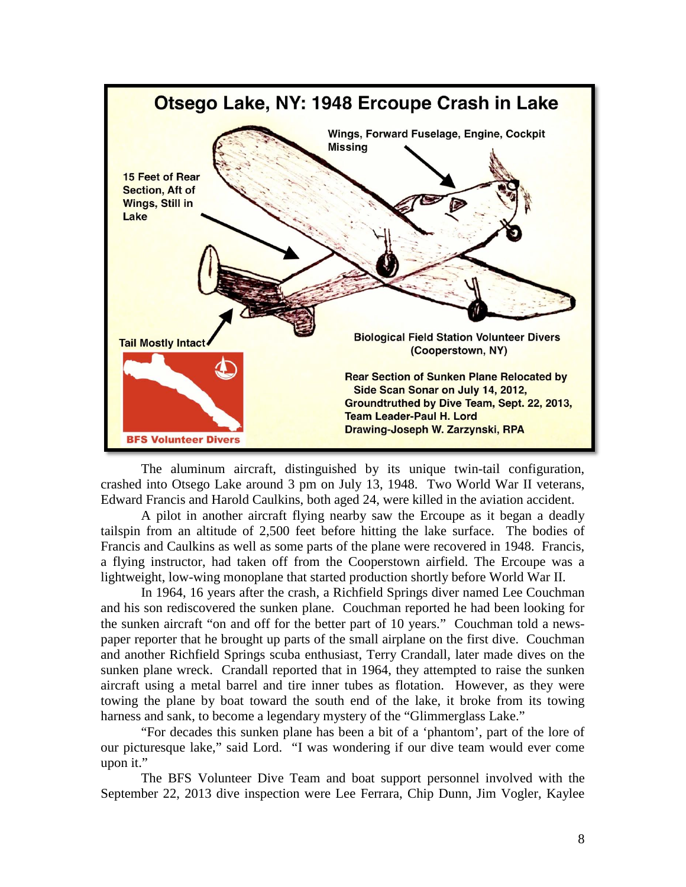

The aluminum aircraft, distinguished by its unique twin-tail configuration, crashed into Otsego Lake around 3 pm on July 13, 1948. Two World War II veterans, Edward Francis and Harold Caulkins, both aged 24, were killed in the aviation accident.

A pilot in another aircraft flying nearby saw the Ercoupe as it began a deadly tailspin from an altitude of 2,500 feet before hitting the lake surface. The bodies of Francis and Caulkins as well as some parts of the plane were recovered in 1948. Francis, a flying instructor, had taken off from the Cooperstown airfield. The Ercoupe was a lightweight, low-wing monoplane that started production shortly before World War II.

In 1964, 16 years after the crash, a Richfield Springs diver named Lee Couchman and his son rediscovered the sunken plane. Couchman reported he had been looking for the sunken aircraft "on and off for the better part of 10 years." Couchman told a newspaper reporter that he brought up parts of the small airplane on the first dive. Couchman and another Richfield Springs scuba enthusiast, Terry Crandall, later made dives on the sunken plane wreck. Crandall reported that in 1964, they attempted to raise the sunken aircraft using a metal barrel and tire inner tubes as flotation. However, as they were towing the plane by boat toward the south end of the lake, it broke from its towing harness and sank, to become a legendary mystery of the "Glimmerglass Lake."

"For decades this sunken plane has been a bit of a 'phantom', part of the lore of our picturesque lake," said Lord. "I was wondering if our dive team would ever come upon it."

The BFS Volunteer Dive Team and boat support personnel involved with the September 22, 2013 dive inspection were Lee Ferrara, Chip Dunn, Jim Vogler, Kaylee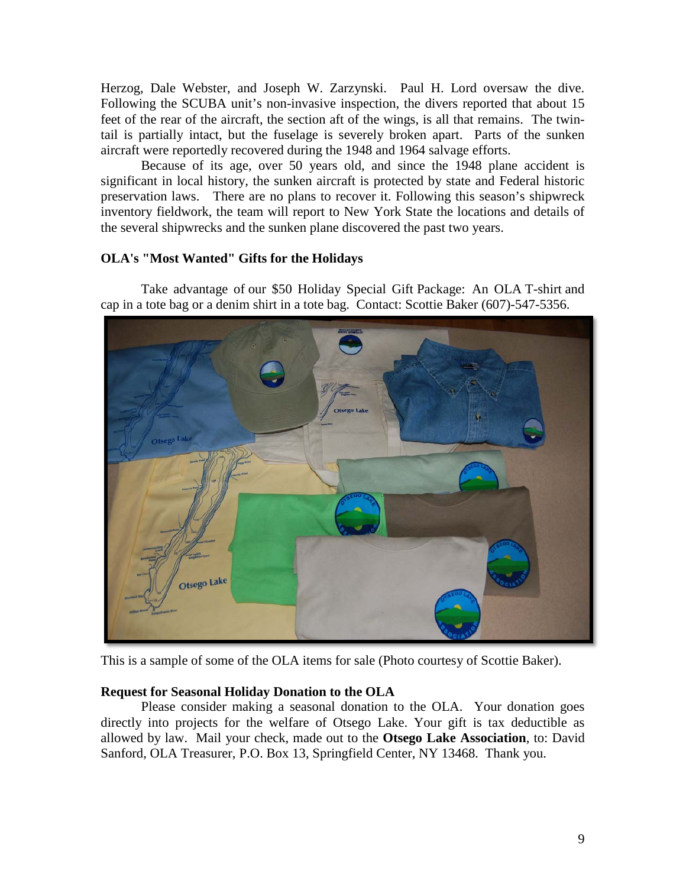Herzog, Dale Webster, and Joseph W. Zarzynski. Paul H. Lord oversaw the dive. Following the SCUBA unit's non-invasive inspection, the divers reported that about 15 feet of the rear of the aircraft, the section aft of the wings, is all that remains. The twintail is partially intact, but the fuselage is severely broken apart. Parts of the sunken aircraft were reportedly recovered during the 1948 and 1964 salvage efforts.

Because of its age, over 50 years old, and since the 1948 plane accident is significant in local history, the sunken aircraft is protected by state and Federal historic preservation laws. There are no plans to recover it. Following this season's shipwreck inventory fieldwork, the team will report to New York State the locations and details of the several shipwrecks and the sunken plane discovered the past two years.

# **OLA's "Most Wanted" Gifts for the Holidays**

Take advantage of our \$50 Holiday Special Gift Package: An OLA T-shirt and cap in a tote bag or a denim shirt in a tote bag. Contact: Scottie Baker (607)-547-5356.



This is a sample of some of the OLA items for sale (Photo courtesy of Scottie Baker).

# **Request for Seasonal Holiday Donation to the OLA**

Please consider making a seasonal donation to the OLA. Your donation goes directly into projects for the welfare of Otsego Lake. Your gift is tax deductible as allowed by law. Mail your check, made out to the **Otsego Lake Association**, to: David Sanford, OLA Treasurer, P.O. Box 13, Springfield Center, NY 13468. Thank you.